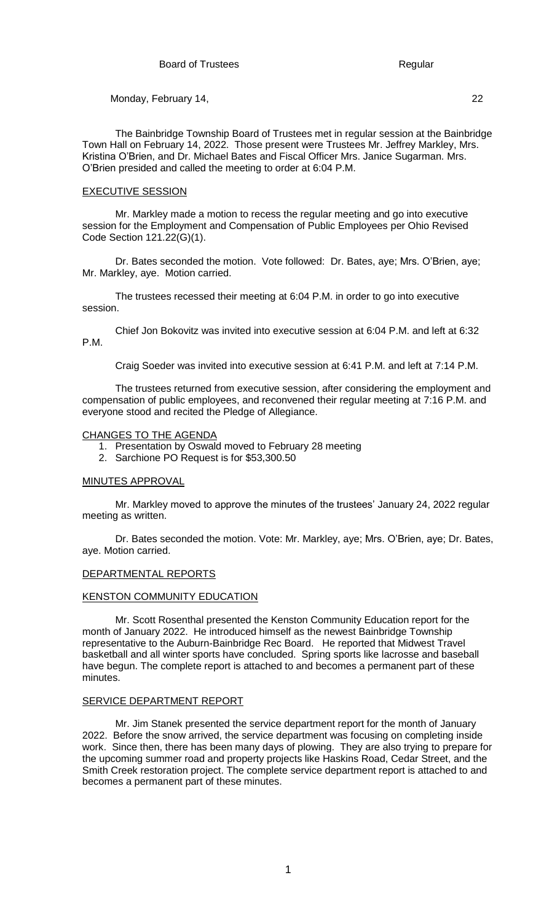The Bainbridge Township Board of Trustees met in regular session at the Bainbridge Town Hall on February 14, 2022. Those present were Trustees Mr. Jeffrey Markley, Mrs. Kristina O'Brien, and Dr. Michael Bates and Fiscal Officer Mrs. Janice Sugarman. Mrs. O'Brien presided and called the meeting to order at 6:04 P.M.

#### EXECUTIVE SESSION

Mr. Markley made a motion to recess the regular meeting and go into executive session for the Employment and Compensation of Public Employees per Ohio Revised Code Section 121.22(G)(1).

Dr. Bates seconded the motion. Vote followed: Dr. Bates, aye; Mrs. O'Brien, aye; Mr. Markley, aye. Motion carried.

The trustees recessed their meeting at 6:04 P.M. in order to go into executive session.

Chief Jon Bokovitz was invited into executive session at 6:04 P.M. and left at 6:32 P.M.

Craig Soeder was invited into executive session at 6:41 P.M. and left at 7:14 P.M.

The trustees returned from executive session, after considering the employment and compensation of public employees, and reconvened their regular meeting at 7:16 P.M. and everyone stood and recited the Pledge of Allegiance.

# CHANGES TO THE AGENDA

- 1. Presentation by Oswald moved to February 28 meeting
- 2. Sarchione PO Request is for \$53,300.50

# MINUTES APPROVAL

Mr. Markley moved to approve the minutes of the trustees' January 24, 2022 regular meeting as written.

Dr. Bates seconded the motion. Vote: Mr. Markley, aye; Mrs. O'Brien, aye; Dr. Bates, aye. Motion carried.

## DEPARTMENTAL REPORTS

# KENSTON COMMUNITY EDUCATION

Mr. Scott Rosenthal presented the Kenston Community Education report for the month of January 2022. He introduced himself as the newest Bainbridge Township representative to the Auburn-Bainbridge Rec Board. He reported that Midwest Travel basketball and all winter sports have concluded. Spring sports like lacrosse and baseball have begun. The complete report is attached to and becomes a permanent part of these minutes.

#### SERVICE DEPARTMENT REPORT

Mr. Jim Stanek presented the service department report for the month of January 2022. Before the snow arrived, the service department was focusing on completing inside work. Since then, there has been many days of plowing. They are also trying to prepare for the upcoming summer road and property projects like Haskins Road, Cedar Street, and the Smith Creek restoration project. The complete service department report is attached to and becomes a permanent part of these minutes.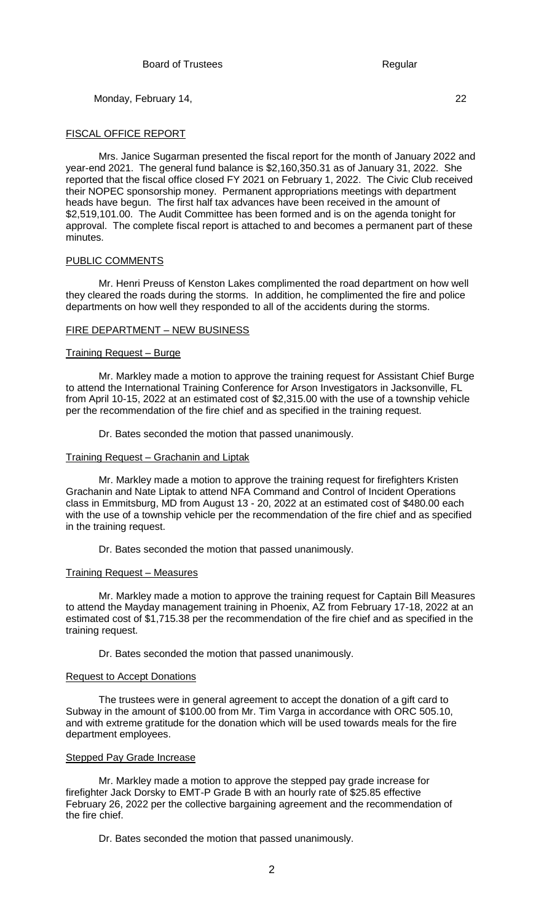## FISCAL OFFICE REPORT

Mrs. Janice Sugarman presented the fiscal report for the month of January 2022 and year-end 2021. The general fund balance is \$2,160,350.31 as of January 31, 2022. She reported that the fiscal office closed FY 2021 on February 1, 2022. The Civic Club received their NOPEC sponsorship money. Permanent appropriations meetings with department heads have begun. The first half tax advances have been received in the amount of \$2,519,101.00. The Audit Committee has been formed and is on the agenda tonight for approval. The complete fiscal report is attached to and becomes a permanent part of these minutes.

# PUBLIC COMMENTS

Mr. Henri Preuss of Kenston Lakes complimented the road department on how well they cleared the roads during the storms. In addition, he complimented the fire and police departments on how well they responded to all of the accidents during the storms.

### FIRE DEPARTMENT – NEW BUSINESS

# Training Request – Burge

Mr. Markley made a motion to approve the training request for Assistant Chief Burge to attend the International Training Conference for Arson Investigators in Jacksonville, FL from April 10-15, 2022 at an estimated cost of \$2,315.00 with the use of a township vehicle per the recommendation of the fire chief and as specified in the training request.

Dr. Bates seconded the motion that passed unanimously.

# Training Request – Grachanin and Liptak

Mr. Markley made a motion to approve the training request for firefighters Kristen Grachanin and Nate Liptak to attend NFA Command and Control of Incident Operations class in Emmitsburg, MD from August 13 - 20, 2022 at an estimated cost of \$480.00 each with the use of a township vehicle per the recommendation of the fire chief and as specified in the training request.

Dr. Bates seconded the motion that passed unanimously.

# Training Request – Measures

Mr. Markley made a motion to approve the training request for Captain Bill Measures to attend the Mayday management training in Phoenix, AZ from February 17-18, 2022 at an estimated cost of \$1,715.38 per the recommendation of the fire chief and as specified in the training request.

Dr. Bates seconded the motion that passed unanimously.

### Request to Accept Donations

The trustees were in general agreement to accept the donation of a gift card to Subway in the amount of \$100.00 from Mr. Tim Varga in accordance with ORC 505.10, and with extreme gratitude for the donation which will be used towards meals for the fire department employees.

### **Stepped Pay Grade Increase**

Mr. Markley made a motion to approve the stepped pay grade increase for firefighter Jack Dorsky to EMT-P Grade B with an hourly rate of \$25.85 effective February 26, 2022 per the collective bargaining agreement and the recommendation of the fire chief.

Dr. Bates seconded the motion that passed unanimously.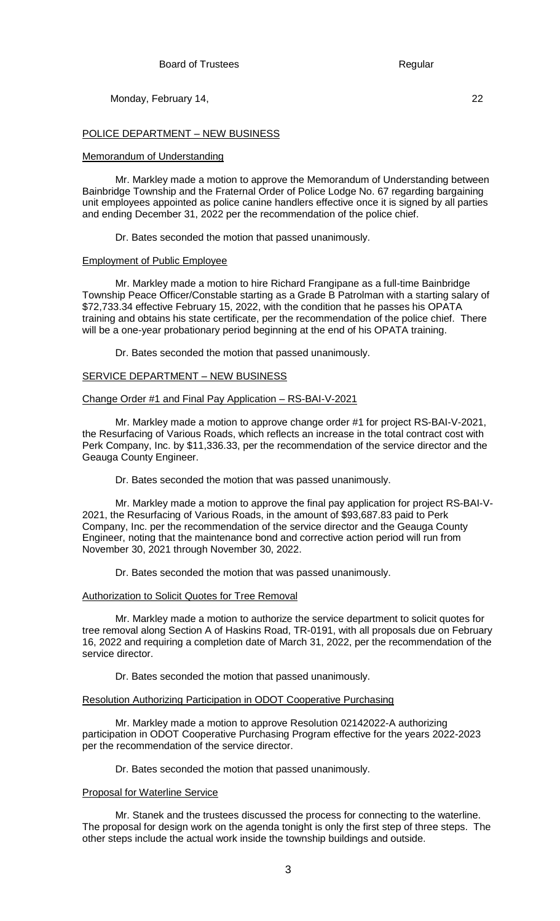POLICE DEPARTMENT – NEW BUSINESS

#### Memorandum of Understanding

Mr. Markley made a motion to approve the Memorandum of Understanding between Bainbridge Township and the Fraternal Order of Police Lodge No. 67 regarding bargaining unit employees appointed as police canine handlers effective once it is signed by all parties and ending December 31, 2022 per the recommendation of the police chief.

Dr. Bates seconded the motion that passed unanimously.

#### Employment of Public Employee

Mr. Markley made a motion to hire Richard Frangipane as a full-time Bainbridge Township Peace Officer/Constable starting as a Grade B Patrolman with a starting salary of \$72,733.34 effective February 15, 2022, with the condition that he passes his OPATA training and obtains his state certificate, per the recommendation of the police chief. There will be a one-year probationary period beginning at the end of his OPATA training.

Dr. Bates seconded the motion that passed unanimously.

#### SERVICE DEPARTMENT – NEW BUSINESS

#### Change Order #1 and Final Pay Application – RS-BAI-V-2021

Mr. Markley made a motion to approve change order #1 for project RS-BAI-V-2021, the Resurfacing of Various Roads, which reflects an increase in the total contract cost with Perk Company, Inc. by \$11,336.33, per the recommendation of the service director and the Geauga County Engineer.

Dr. Bates seconded the motion that was passed unanimously.

Mr. Markley made a motion to approve the final pay application for project RS-BAI-V-2021, the Resurfacing of Various Roads, in the amount of \$93,687.83 paid to Perk Company, Inc. per the recommendation of the service director and the Geauga County Engineer, noting that the maintenance bond and corrective action period will run from November 30, 2021 through November 30, 2022.

Dr. Bates seconded the motion that was passed unanimously.

#### Authorization to Solicit Quotes for Tree Removal

Mr. Markley made a motion to authorize the service department to solicit quotes for tree removal along Section A of Haskins Road, TR-0191, with all proposals due on February 16, 2022 and requiring a completion date of March 31, 2022, per the recommendation of the service director.

Dr. Bates seconded the motion that passed unanimously.

#### Resolution Authorizing Participation in ODOT Cooperative Purchasing

Mr. Markley made a motion to approve Resolution 02142022-A authorizing participation in ODOT Cooperative Purchasing Program effective for the years 2022-2023 per the recommendation of the service director.

Dr. Bates seconded the motion that passed unanimously.

#### Proposal for Waterline Service

Mr. Stanek and the trustees discussed the process for connecting to the waterline. The proposal for design work on the agenda tonight is only the first step of three steps. The other steps include the actual work inside the township buildings and outside.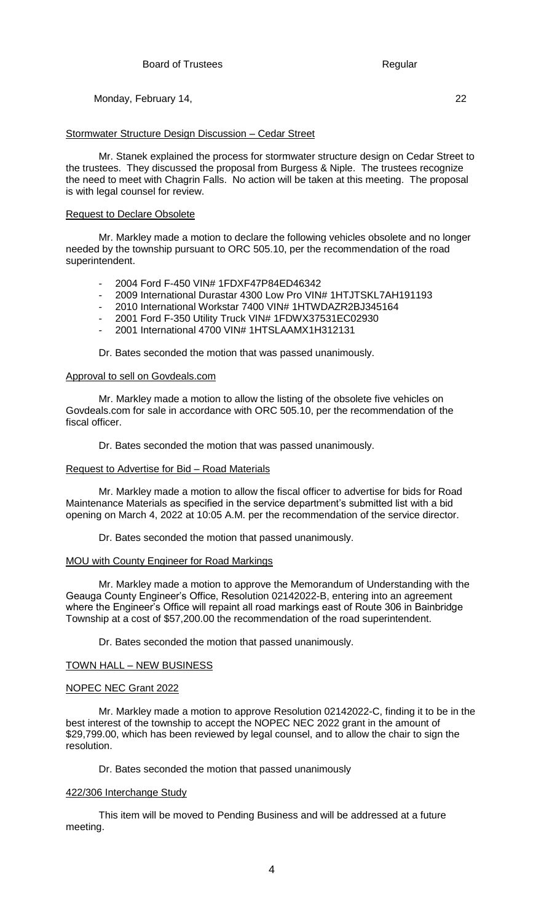## Stormwater Structure Design Discussion – Cedar Street

Mr. Stanek explained the process for stormwater structure design on Cedar Street to the trustees. They discussed the proposal from Burgess & Niple. The trustees recognize the need to meet with Chagrin Falls. No action will be taken at this meeting. The proposal is with legal counsel for review.

## Request to Declare Obsolete

Mr. Markley made a motion to declare the following vehicles obsolete and no longer needed by the township pursuant to ORC 505.10, per the recommendation of the road superintendent.

- 2004 Ford F-450 VIN# 1FDXF47P84ED46342
- 2009 International Durastar 4300 Low Pro VIN# 1HTJTSKL7AH191193
- 2010 International Workstar 7400 VIN# 1HTWDAZR2BJ345164
- 2001 Ford F-350 Utility Truck VIN# 1FDWX37531EC02930
- 2001 International 4700 VIN# 1HTSLAAMX1H312131

Dr. Bates seconded the motion that was passed unanimously.

### Approval to sell on Govdeals.com

Mr. Markley made a motion to allow the listing of the obsolete five vehicles on Govdeals.com for sale in accordance with ORC 505.10, per the recommendation of the fiscal officer.

Dr. Bates seconded the motion that was passed unanimously.

### Request to Advertise for Bid – Road Materials

Mr. Markley made a motion to allow the fiscal officer to advertise for bids for Road Maintenance Materials as specified in the service department's submitted list with a bid opening on March 4, 2022 at 10:05 A.M. per the recommendation of the service director.

Dr. Bates seconded the motion that passed unanimously.

# MOU with County Engineer for Road Markings

Mr. Markley made a motion to approve the Memorandum of Understanding with the Geauga County Engineer's Office, Resolution 02142022-B, entering into an agreement where the Engineer's Office will repaint all road markings east of Route 306 in Bainbridge Township at a cost of \$57,200.00 the recommendation of the road superintendent.

Dr. Bates seconded the motion that passed unanimously.

### TOWN HALL – NEW BUSINESS

### NOPEC NEC Grant 2022

Mr. Markley made a motion to approve Resolution 02142022-C, finding it to be in the best interest of the township to accept the NOPEC NEC 2022 grant in the amount of \$29,799.00, which has been reviewed by legal counsel, and to allow the chair to sign the resolution.

Dr. Bates seconded the motion that passed unanimously

### 422/306 Interchange Study

This item will be moved to Pending Business and will be addressed at a future meeting.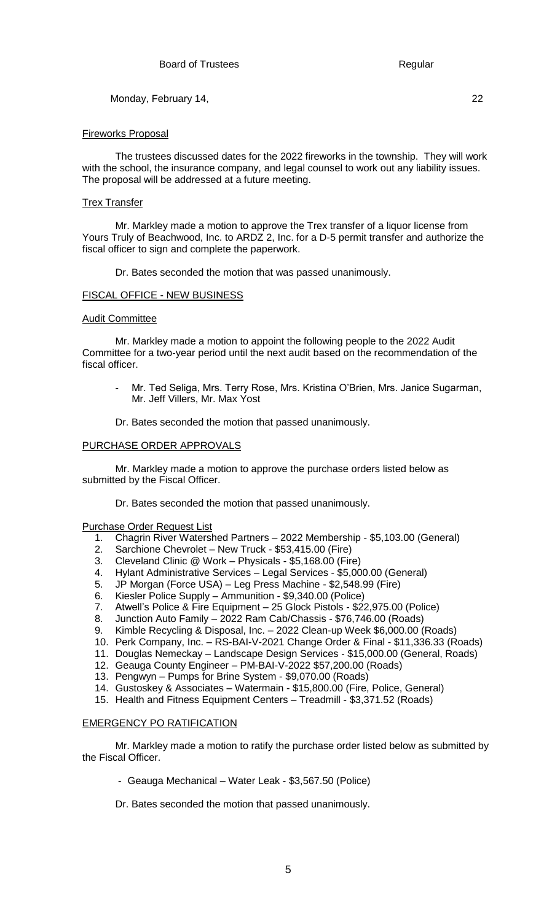## Fireworks Proposal

The trustees discussed dates for the 2022 fireworks in the township. They will work with the school, the insurance company, and legal counsel to work out any liability issues. The proposal will be addressed at a future meeting.

# Trex Transfer

Mr. Markley made a motion to approve the Trex transfer of a liquor license from Yours Truly of Beachwood, Inc. to ARDZ 2, Inc. for a D-5 permit transfer and authorize the fiscal officer to sign and complete the paperwork.

Dr. Bates seconded the motion that was passed unanimously.

# FISCAL OFFICE - NEW BUSINESS

### Audit Committee

Mr. Markley made a motion to appoint the following people to the 2022 Audit Committee for a two-year period until the next audit based on the recommendation of the fiscal officer.

- Mr. Ted Seliga, Mrs. Terry Rose, Mrs. Kristina O'Brien, Mrs. Janice Sugarman, Mr. Jeff Villers, Mr. Max Yost
- Dr. Bates seconded the motion that passed unanimously.

### PURCHASE ORDER APPROVALS

Mr. Markley made a motion to approve the purchase orders listed below as submitted by the Fiscal Officer.

Dr. Bates seconded the motion that passed unanimously.

### Purchase Order Request List

- 1. Chagrin River Watershed Partners 2022 Membership \$5,103.00 (General)
- 2. Sarchione Chevrolet New Truck \$53,415.00 (Fire)
- 3. Cleveland Clinic @ Work Physicals \$5,168.00 (Fire)
- 4. Hylant Administrative Services Legal Services \$5,000.00 (General)
- 5. JP Morgan (Force USA) Leg Press Machine \$2,548.99 (Fire)
- 6. Kiesler Police Supply Ammunition \$9,340.00 (Police)
- 7. Atwell's Police & Fire Equipment 25 Glock Pistols \$22,975.00 (Police)
- 8. Junction Auto Family 2022 Ram Cab/Chassis \$76,746.00 (Roads)
- 9. Kimble Recycling & Disposal, Inc. 2022 Clean-up Week \$6,000.00 (Roads)
- 10. Perk Company, Inc. RS-BAI-V-2021 Change Order & Final \$11,336.33 (Roads)
- 11. Douglas Nemeckay Landscape Design Services \$15,000.00 (General, Roads)
- 12. Geauga County Engineer PM-BAI-V-2022 \$57,200.00 (Roads)
- 13. Pengwyn Pumps for Brine System \$9,070.00 (Roads)
- 14. Gustoskey & Associates Watermain \$15,800.00 (Fire, Police, General)
- 15. Health and Fitness Equipment Centers Treadmill \$3,371.52 (Roads)

# EMERGENCY PO RATIFICATION

Mr. Markley made a motion to ratify the purchase order listed below as submitted by the Fiscal Officer.

- *-* Geauga Mechanical Water Leak \$3,567.50 (Police)
- Dr. Bates seconded the motion that passed unanimously.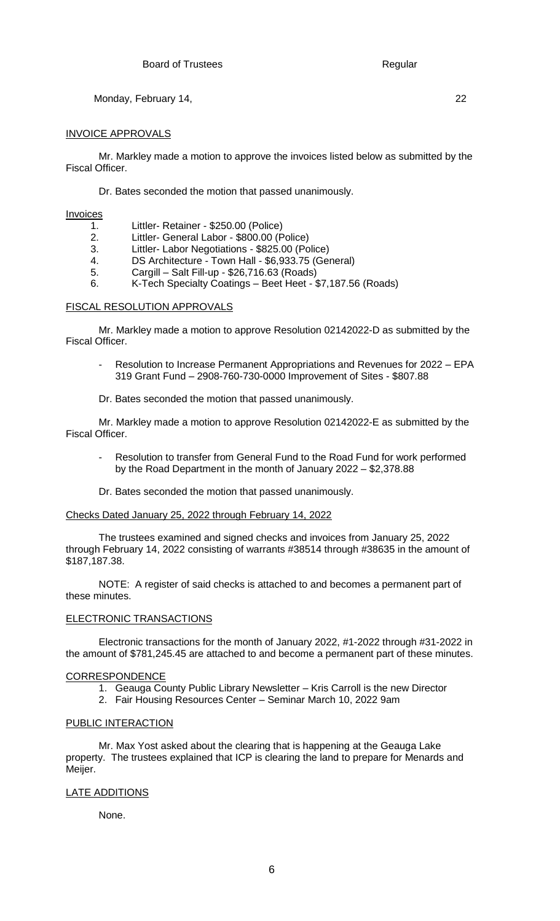## INVOICE APPROVALS

Mr. Markley made a motion to approve the invoices listed below as submitted by the Fiscal Officer.

Dr. Bates seconded the motion that passed unanimously.

**Invoices** 

- 1. Littler- Retainer \$250.00 (Police)
- 2. Littler- General Labor \$800.00 (Police)
- 3. Littler- Labor Negotiations \$825.00 (Police)
- 4. DS Architecture Town Hall \$6,933.75 (General)
- 5. Cargill Salt Fill-up \$26,716.63 (Roads)
- 6. K-Tech Specialty Coatings Beet Heet \$7,187.56 (Roads)

# FISCAL RESOLUTION APPROVALS

Mr. Markley made a motion to approve Resolution 02142022-D as submitted by the Fiscal Officer.

- Resolution to Increase Permanent Appropriations and Revenues for 2022 EPA 319 Grant Fund – 2908-760-730-0000 Improvement of Sites - \$807.88
- Dr. Bates seconded the motion that passed unanimously.

Mr. Markley made a motion to approve Resolution 02142022-E as submitted by the Fiscal Officer.

Resolution to transfer from General Fund to the Road Fund for work performed by the Road Department in the month of January 2022 – \$2,378.88

Dr. Bates seconded the motion that passed unanimously.

### Checks Dated January 25, 2022 through February 14, 2022

The trustees examined and signed checks and invoices from January 25, 2022 through February 14, 2022 consisting of warrants #38514 through #38635 in the amount of \$187,187.38.

NOTE: A register of said checks is attached to and becomes a permanent part of these minutes.

# ELECTRONIC TRANSACTIONS

Electronic transactions for the month of January 2022, #1-2022 through #31-2022 in the amount of \$781,245.45 are attached to and become a permanent part of these minutes.

# **CORRESPONDENCE**

- 1. Geauga County Public Library Newsletter Kris Carroll is the new Director
- 2. Fair Housing Resources Center Seminar March 10, 2022 9am

### PUBLIC INTERACTION

Mr. Max Yost asked about the clearing that is happening at the Geauga Lake property. The trustees explained that ICP is clearing the land to prepare for Menards and Meijer.

# LATE ADDITIONS

None.